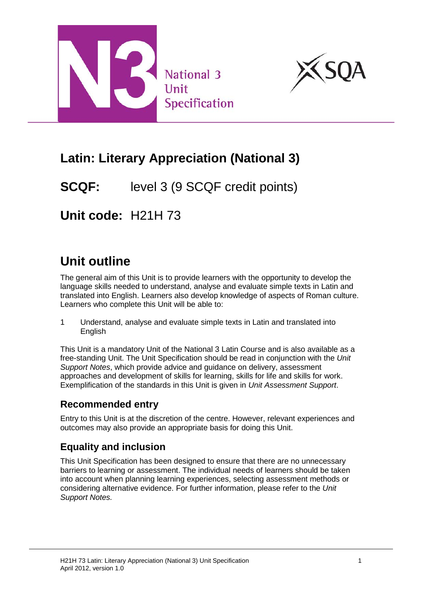



# **Latin: Literary Appreciation (National 3)**

# **SCQF:** level 3 (9 SCQF credit points)

**Unit code:** H21H 73

# **Unit outline**

The general aim of this Unit is to provide learners with the opportunity to develop the language skills needed to understand, analyse and evaluate simple texts in Latin and translated into English. Learners also develop knowledge of aspects of Roman culture. Learners who complete this Unit will be able to:

1 Understand, analyse and evaluate simple texts in Latin and translated into **English** 

This Unit is a mandatory Unit of the National 3 Latin Course and is also available as a free-standing Unit. The Unit Specification should be read in conjunction with the *Unit Support Notes*, which provide advice and guidance on delivery, assessment approaches and development of skills for learning, skills for life and skills for work. Exemplification of the standards in this Unit is given in *Unit Assessment Support*.

## **Recommended entry**

Entry to this Unit is at the discretion of the centre. However, relevant experiences and outcomes may also provide an appropriate basis for doing this Unit.

## **Equality and inclusion**

This Unit Specification has been designed to ensure that there are no unnecessary barriers to learning or assessment. The individual needs of learners should be taken into account when planning learning experiences, selecting assessment methods or considering alternative evidence. For further information, please refer to the *Unit Support Notes.*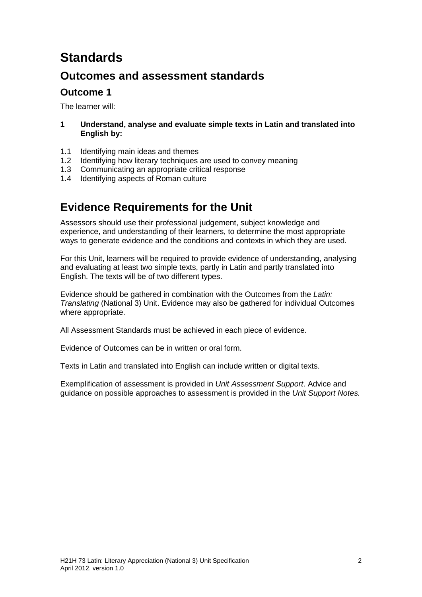# **Standards**

## **Outcomes and assessment standards**

### **Outcome 1**

The learner will:

#### **1 Understand, analyse and evaluate simple texts in Latin and translated into English by:**

- 1.1 Identifying main ideas and themes
- 1.2 Identifying how literary techniques are used to convey meaning
- 1.3 Communicating an appropriate critical response
- 1.4 Identifying aspects of Roman culture

## **Evidence Requirements for the Unit**

Assessors should use their professional judgement, subject knowledge and experience, and understanding of their learners, to determine the most appropriate ways to generate evidence and the conditions and contexts in which they are used.

For this Unit, learners will be required to provide evidence of understanding, analysing and evaluating at least two simple texts, partly in Latin and partly translated into English. The texts will be of two different types.

Evidence should be gathered in combination with the Outcomes from the *Latin: Translating* (National 3) Unit. Evidence may also be gathered for individual Outcomes where appropriate.

All Assessment Standards must be achieved in each piece of evidence.

Evidence of Outcomes can be in written or oral form.

Texts in Latin and translated into English can include written or digital texts.

Exemplification of assessment is provided in *Unit Assessment Support*. Advice and guidance on possible approaches to assessment is provided in the *Unit Support Notes.*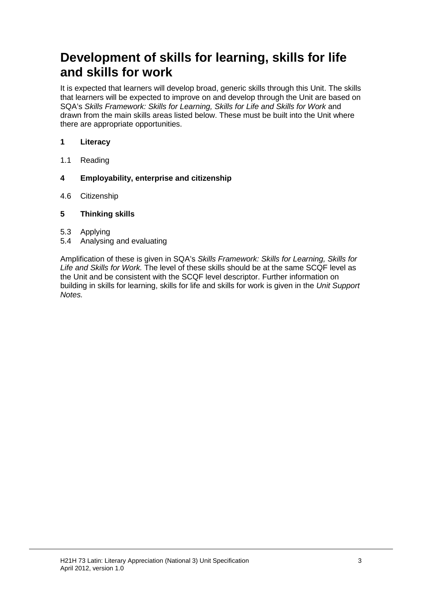# **Development of skills for learning, skills for life and skills for work**

It is expected that learners will develop broad, generic skills through this Unit. The skills that learners will be expected to improve on and develop through the Unit are based on SQA's *Skills Framework: Skills for Learning, Skills for Life and Skills for Work* and drawn from the main skills areas listed below. These must be built into the Unit where there are appropriate opportunities.

#### **1 Literacy**

- 1.1 Reading
- **4 Employability, enterprise and citizenship**
- 4.6 Citizenship

#### **5 Thinking skills**

- 5.3 Applying
- 5.4 Analysing and evaluating

Amplification of these is given in SQA's *Skills Framework: Skills for Learning, Skills for Life and Skills for Work.* The level of these skills should be at the same SCQF level as the Unit and be consistent with the SCQF level descriptor. Further information on building in skills for learning, skills for life and skills for work is given in the *Unit Support Notes.*